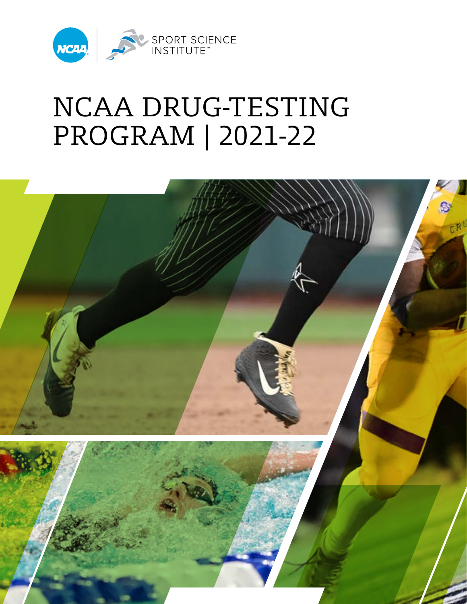

# NCAA DRUG-TESTING PROGRAM | 2021-22

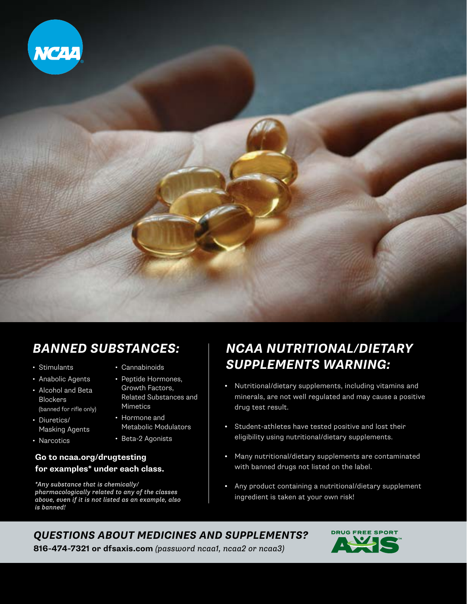

### *BANNED SUBSTANCES:*

- Stimulants
- Anabolic Agents
- Alcohol and Beta Blockers (banned for rifle only)
- Diuretics/ Masking Agents
- Narcotics
- Cannabinoids
- Peptide Hormones, Growth Factors, Related Substances and Mimetics
- Hormone and Metabolic Modulators
- Beta-2 Agonists

#### **Go to [ncaa.org/drugtesting](http://ncaa.org/drugtesting) for examples\* under each class.**

*\*Any substance that is chemically/ pharmacologically related to any of the classes above, even if it is not listed as an example, also is banned!*

### *NCAA NUTRITIONAL/DIETARY SUPPLEMENTS WARNING:*

- **•** Nutritional/dietary supplements, including vitamins and minerals, are not well regulated and may cause a positive drug test result.
- **•** Student-athletes have tested positive and lost their eligibility using nutritional/dietary supplements.
- **•** Many nutritional/dietary supplements are contaminated with banned drugs not listed on the label.
- **•** Any product containing a nutritional/dietary supplement ingredient is taken at your own risk!

### *QUESTIONS ABOUT MEDICINES AND SUPPLEMENTS?*



**816-474-7321 or [dfsaxis.com](https://dfsaxis.com/)** *(password ncaa1, ncaa2 or ncaa3)*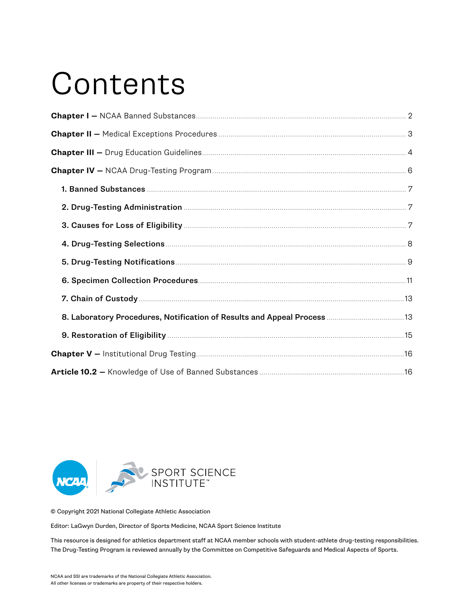# **Contents**



© Copyright 2021 National Collegiate Athletic Association

Editor: LaGwyn Durden, Director of Sports Medicine, NCAA Sport Science Institute

This resource is designed for athletics department staff at NCAA member schools with student-athlete drug-testing responsibilities. The Drug-Testing Program is reviewed annually by the Committee on Competitive Safeguards and Medical Aspects of Sports.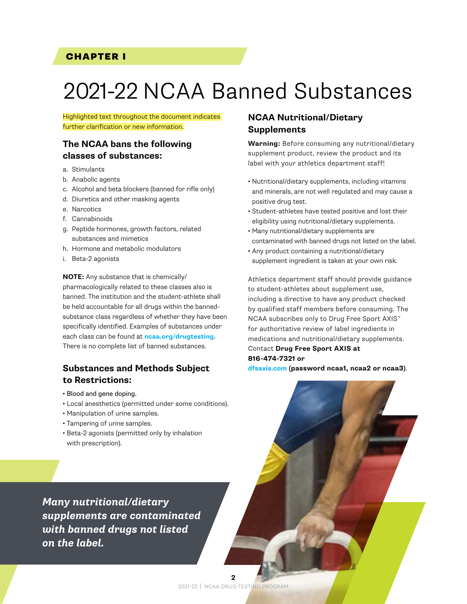#### <span id="page-3-0"></span>CHAPTER I

## 2021-22 NCAA Banned Substances

Highlighted text throughout the document indicates further clarification or new information.

#### **The NCAA bans the following classes of substances:**

- a. Stimulants
- b. Anabolic agents
- c. Alcohol and beta blockers (banned for rifle only)
- d. Diuretics and other masking agents
- e. Narcotics
- f. Cannabinoids
- g. Peptide hormones, growth factors, related substances and mimetics
- h. Hormone and metabolic modulators
- i. Beta-2 agonists

**NOTE:** Any substance that is chemically/ pharmacologically related to these classes also is banned. The institution and the student-athlete shall be held accountable for all drugs within the bannedsubstance class regardless of whether they have been specifically identified. Examples of substances under each class can be found at **[ncaa.org/drugtesting](http://ncaa.org/drugtesting)**. There is no complete list of banned substances.

#### **Substances and Methods Subject to Restrictions:**

- Blood and gene doping.
- Local anesthetics (permitted under some conditions).
- Manipulation of urine samples.
- Tampering of urine samples.
- Beta-2 agonists (permitted only by inhalation with prescription).

#### **NCAA Nutritional/Dietary Supplements**

**Warning:** Before consuming any nutritional/dietary supplement product, review the product and its label with your athletics department staff!

- Nutritional/dietary supplements, including vitamins and minerals, are not well regulated and may cause a positive drug test.
- Student-athletes have tested positive and lost their eligibility using nutritional/dietary supplements.
- Many nutritional/dietary supplements are contaminated with banned drugs not listed on the label.
- Any product containing a nutritional/dietary supplement ingredient is taken at your own risk.

Athletics department staff should provide guidance to student-athletes about supplement use, including a directive to have any product checked by qualified staff members before consuming. The NCAA subscribes only to Drug Free Sport AXIS™ for authoritative review of label ingredients in medications and nutritional/dietary supplements. Contact **Drug Free Sport AXIS at 816-474-7321 or** 

**[dfsaxis.com](https://dfsaxis.com/) (password ncaa1, ncaa2 or ncaa3)**.

*Many nutritional/dietary supplements are contaminated with banned drugs not listed on the label.*

> 2021-22 | NCAA DRUG-TESTING PROGRAM **2**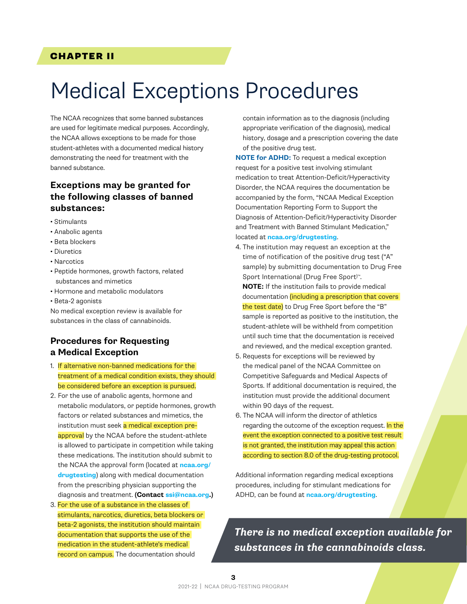#### <span id="page-4-0"></span>CHAPTER II

### Medical Exceptions Procedures

The NCAA recognizes that some banned substances are used for legitimate medical purposes. Accordingly, the NCAA allows exceptions to be made for those student-athletes with a documented medical history demonstrating the need for treatment with the banned substance.

#### **Exceptions may be granted for the following classes of banned substances:**

- Stimulants
- Anabolic agents
- Beta blockers
- Diuretics
- Narcotics
- Peptide hormones, growth factors, related substances and mimetics
- Hormone and metabolic modulators
- Beta-2 agonists

No medical exception review is available for substances in the class of cannabinoids.

#### **Procedures for Requesting a Medical Exception**

- 1. If alternative non-banned medications for the treatment of a medical condition exists, they should be considered before an exception is pursued.
- 2. For the use of anabolic agents, hormone and metabolic modulators, or peptide hormones, growth factors or related substances and mimetics, the institution must seek a medical exception preapproval by the NCAA before the student-athlete is allowed to participate in competition while taking these medications. The institution should submit to the NCAA the approval form (located at **[ncaa.org/](http://ncaa.org/drugtesting) [drugtesting](http://ncaa.org/drugtesting)**) along with medical documentation from the prescribing physician supporting the diagnosis and treatment. **(Contact ssi[@ncaa.org](mailto:ssi%40ncaa.org?subject=).)**
- 3. For the use of a substance in the classes of stimulants, narcotics, diuretics, beta blockers or beta-2 agonists, the institution should maintain documentation that supports the use of the medication in the student-athlete's medical record on campus. The documentation should

contain information as to the diagnosis (including appropriate verification of the diagnosis), medical history, dosage and a prescription covering the date of the positive drug test.

**NOTE for ADHD:** To request a medical exception request for a positive test involving stimulant medication to treat Attention-Deficit/Hyperactivity Disorder, the NCAA requires the documentation be accompanied by the form, "NCAA Medical Exception Documentation Reporting Form to Support the Diagnosis of Attention-Deficit/Hyperactivity Disorder and Treatment with Banned Stimulant Medication," located at **[ncaa.org/drugtesting](http://ncaa.org/drugtesting)**.

- 4. The institution may request an exception at the time of notification of the positive drug test ("A" sample) by submitting documentation to Drug Free Sport International (Drug Free Sport)™. **NOTE:** If the institution fails to provide medical documentation (including a prescription that covers the test date) to Drug Free Sport before the "B" sample is reported as positive to the institution, the student-athlete will be withheld from competition until such time that the documentation is received and reviewed, and the medical exception granted.
- 5. Requests for exceptions will be reviewed by the medical panel of the NCAA Committee on Competitive Safeguards and Medical Aspects of Sports. If additional documentation is required, the institution must provide the additional document within 90 days of the request.
- 6. The NCAA will inform the director of athletics regarding the outcome of the exception request. In the event the exception connected to a positive test result is not granted, the institution may appeal this action according to section 8.0 of the drug-testing protocol.

Additional information regarding medical exceptions procedures, including for stimulant medications for ADHD, can be found at **[ncaa.org/drugtesting](http://ncaa.org/drugtesting)**.

*There is no medical exception available for substances in the cannabinoids class.*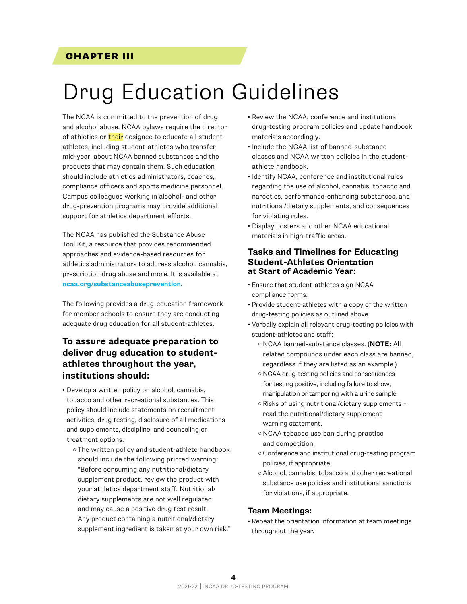#### <span id="page-5-0"></span>CHAPTER III

## Drug Education Guidelines

The NCAA is committed to the prevention of drug and alcohol abuse. NCAA bylaws require the director of athletics or their designee to educate all studentathletes, including student-athletes who transfer mid-year, about NCAA banned substances and the products that may contain them. Such education should include athletics administrators, coaches, compliance officers and sports medicine personnel. Campus colleagues working in alcohol- and other drug-prevention programs may provide additional support for athletics department efforts.

The NCAA has published the Substance Abuse Tool Kit, a resource that provides recommended approaches and evidence-based resources for athletics administrators to address alcohol, cannabis, prescription drug abuse and more. It is available at **[ncaa.org/substanceabuseprevention](http://www.ncaa.org/substanceabuseprevention)**.

The following provides a drug-education framework for member schools to ensure they are conducting adequate drug education for all student-athletes.

#### **To assure adequate preparation to deliver drug education to studentathletes throughout the year, institutions should:**

- Develop a written policy on alcohol, cannabis, tobacco and other recreational substances. This policy should include statements on recruitment activities, drug testing, disclosure of all medications and supplements, discipline, and counseling or treatment options.
	- o The written policy and student-athlete handbook should include the following printed warning: "Before consuming any nutritional/dietary supplement product, review the product with your athletics department staff. Nutritional/ dietary supplements are not well regulated and may cause a positive drug test result. Any product containing a nutritional/dietary supplement ingredient is taken at your own risk."
- Review the NCAA, conference and institutional drug-testing program policies and update handbook materials accordingly.
- Include the NCAA list of banned-substance classes and NCAA written policies in the studentathlete handbook.
- Identify NCAA, conference and institutional rules regarding the use of alcohol, cannabis, tobacco and narcotics, performance-enhancing substances, and nutritional/dietary supplements, and consequences for violating rules.
- Display posters and other NCAA educational materials in high-traffic areas.

#### **Tasks and Timelines for Educating Student-Athletes Orientation at Start of Academic Year:**

- Ensure that student-athletes sign NCAA compliance forms.
- Provide student-athletes with a copy of the written drug-testing policies as outlined above.
- Verbally explain all relevant drug-testing policies with student-athletes and staff:
	- ¡ NCAA banned-substance classes. (**NOTE:** All related compounds under each class are banned, regardless if they are listed as an example.)
	- o NCAA drug-testing policies and consequences for testing positive, including failure to show, manipulation or tampering with a urine sample.
	- o Risks of using nutritional/dietary supplements read the nutritional/dietary supplement warning statement.
	- o NCAA tobacco use ban during practice and competition.
	- o Conference and institutional drug-testing program policies, if appropriate.
	- o Alcohol, cannabis, tobacco and other recreational substance use policies and institutional sanctions for violations, if appropriate.

#### **Team Meetings:**

• Repeat the orientation information at team meetings throughout the year.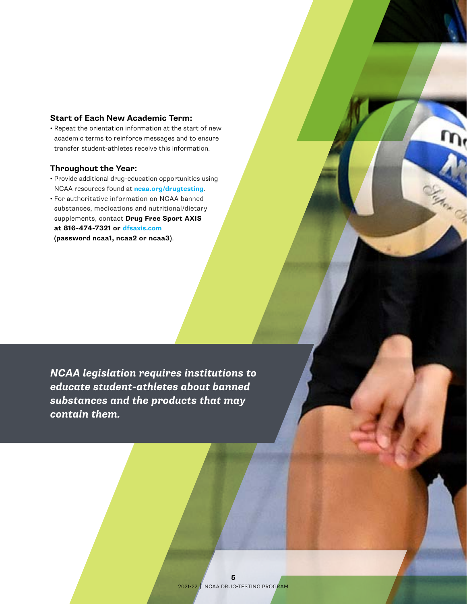#### **Start of Each New Academic Term:**

• Repeat the orientation information at the start of new academic terms to reinforce messages and to ensure transfer student-athletes receive this information.

#### **Throughout the Year:**

- Provide additional drug-education opportunities using NCAA resources found at **[ncaa.org/drugtesting](http://ncaa.org/drugtesting)**.
- For authoritative information on NCAA banned substances, medications and nutritional/dietary supplements, contact **Drug Free Sport AXIS at 816-474-7321 or [dfsaxis.com](https://dfsaxis.com/) (password ncaa1, ncaa2 or ncaa3)**.

*NCAA legislation requires institutions to educate student-athletes about banned substances and the products that may contain them.*

ARA CE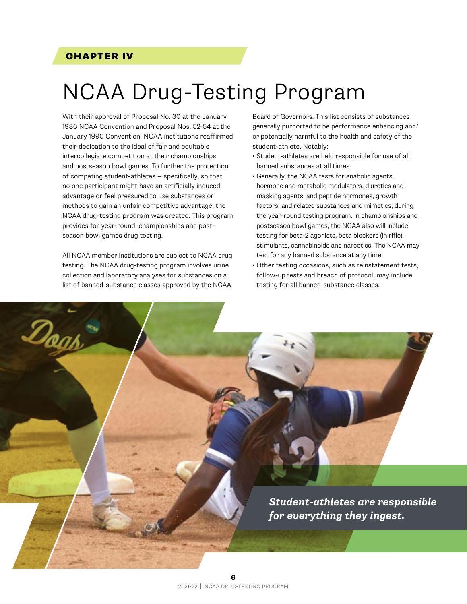#### <span id="page-7-0"></span>CHAPTER IV

Dogs

# NCAA Drug-Testing Program

With their approval of Proposal No. 30 at the January 1986 NCAA Convention and Proposal Nos. 52-54 at the January 1990 Convention, NCAA institutions reaffirmed their dedication to the ideal of fair and equitable intercollegiate competition at their championships and postseason bowl games. To further the protection of competing student-athletes — specifically, so that no one participant might have an artificially induced advantage or feel pressured to use substances or methods to gain an unfair competitive advantage, the NCAA drug-testing program was created. This program provides for year-round, championships and postseason bowl games drug testing.

All NCAA member institutions are subject to NCAA drug testing. The NCAA drug-testing program involves urine collection and laboratory analyses for substances on a list of banned-substance classes approved by the NCAA

Board of Governors. This list consists of substances generally purported to be performance enhancing and/ or potentially harmful to the health and safety of the student-athlete. Notably:

- Student-athletes are held responsible for use of all banned substances at all times.
- Generally, the NCAA tests for anabolic agents, hormone and metabolic modulators, diuretics and masking agents, and peptide hormones, growth factors, and related substances and mimetics, during the year-round testing program. In championships and postseason bowl games, the NCAA also will include testing for beta-2 agonists, beta blockers (in rifle), stimulants, cannabinoids and narcotics. The NCAA may test for any banned substance at any time.
- Other testing occasions, such as reinstatement tests, follow-up tests and breach of protocol, may include testing for all banned-substance classes.

*Student-athletes are responsible for everything they ingest.*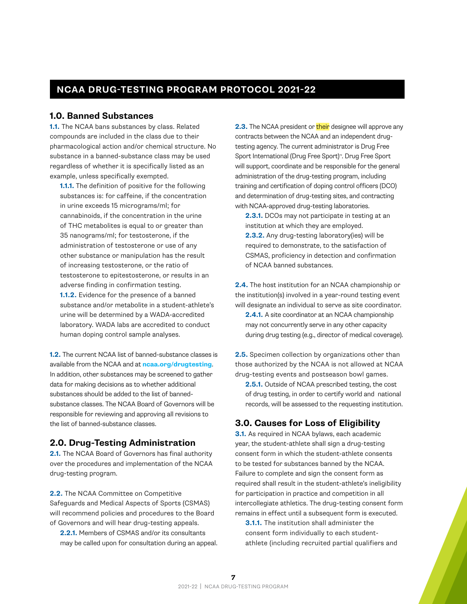#### <span id="page-8-0"></span>**NCAA DRUG-TESTING PROGRAM PROTOCOL 2021-22**

#### **1.0. Banned Substances**

**1.1.** The NCAA bans substances by class. Related compounds are included in the class due to their pharmacological action and/or chemical structure. No substance in a banned-substance class may be used regardless of whether it is specifically listed as an example, unless specifically exempted.

**1.1.1.** The definition of positive for the following substances is: for caffeine, if the concentration in urine exceeds 15 micrograms/ml; for cannabinoids, if the concentration in the urine of THC metabolites is equal to or greater than 35 nanograms/ml; for testosterone, if the administration of testosterone or use of any other substance or manipulation has the result of increasing testosterone, or the ratio of testosterone to epitestosterone, or results in an adverse finding in confirmation testing. **1.1.2.** Evidence for the presence of a banned substance and/or metabolite in a student-athlete's urine will be determined by a WADA-accredited laboratory. WADA labs are accredited to conduct human doping control sample analyses.

**1.2.** The current NCAA list of banned-substance classes is available from the NCAA and at **[ncaa.org/drugtesting](http://ncaa.org/drugtesting)**. In addition, other substances may be screened to gather data for making decisions as to whether additional substances should be added to the list of bannedsubstance classes. The NCAA Board of Governors will be responsible for reviewing and approving all revisions to the list of banned-substance classes.

#### **2.0. Drug-Testing Administration**

**2.1.** The NCAA Board of Governors has final authority over the procedures and implementation of the NCAA drug-testing program.

**2.2.** The NCAA Committee on Competitive Safeguards and Medical Aspects of Sports (CSMAS) will recommend policies and procedures to the Board of Governors and will hear drug-testing appeals.

**2.2.1.** Members of CSMAS and/or its consultants may be called upon for consultation during an appeal. **2.3.** The NCAA president or **their** designee will approve any contracts between the NCAA and an independent drugtesting agency. The current administrator is Drug Free Sport International (Drug Free Sport)™. Drug Free Sport will support, coordinate and be responsible for the general administration of the drug-testing program, including training and certification of doping control officers (DCO) and determination of drug-testing sites, and contracting with NCAA-approved drug-testing laboratories.

**2.3.1.** DCOs may not participate in testing at an institution at which they are employed. **2.3.2.** Any drug-testing laboratory(ies) will be required to demonstrate, to the satisfaction of CSMAS, proficiency in detection and confirmation of NCAA banned substances.

**2.4.** The host institution for an NCAA championship or the institution(s) involved in a year-round testing event will designate an individual to serve as site coordinator.

**2.4.1.** A site coordinator at an NCAA championship may not concurrently serve in any other capacity during drug testing (e.g., director of medical coverage).

**2.5.** Specimen collection by organizations other than those authorized by the NCAA is not allowed at NCAA drug-testing events and postseason bowl games.

**2.5.1.** Outside of NCAA prescribed testing, the cost of drug testing, in order to certify world and national records, will be assessed to the requesting institution.

#### **3.0. Causes for Loss of Eligibility**

**3.1.** As required in NCAA bylaws, each academic year, the student-athlete shall sign a drug-testing consent form in which the student-athlete consents to be tested for substances banned by the NCAA. Failure to complete and sign the consent form as required shall result in the student-athlete's ineligibility for participation in practice and competition in all intercollegiate athletics. The drug-testing consent form remains in effect until a subsequent form is executed.

**3.1.1.** The institution shall administer the consent form individually to each studentathlete (including recruited partial qualifiers and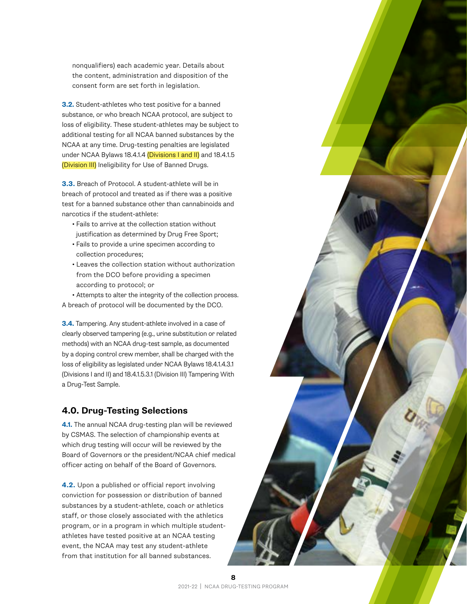<span id="page-9-0"></span>nonqualifiers) each academic year. Details about the content, administration and disposition of the consent form are set forth in legislation.

**3.2.** Student-athletes who test positive for a banned substance, or who breach NCAA protocol, are subject to loss of eligibility. These student-athletes may be subject to additional testing for all NCAA banned substances by the NCAA at any time. Drug-testing penalties are legislated under NCAA Bylaws 18.4.1.4 (Divisions I and II) and 18.4.1.5 (Division III) Ineligibility for Use of Banned Drugs.

**3.3.** Breach of Protocol. A student-athlete will be in breach of protocol and treated as if there was a positive test for a banned substance other than cannabinoids and narcotics if the student-athlete:

- Fails to arrive at the collection station without justification as determined by Drug Free Sport;
- Fails to provide a urine specimen according to collection procedures;
- Leaves the collection station without authorization from the DCO before providing a specimen according to protocol; or

• Attempts to alter the integrity of the collection process. A breach of protocol will be documented by the DCO.

**3.4.** Tampering. Any student-athlete involved in a case of clearly observed tampering (e.g., urine substitution or related methods) with an NCAA drug-test sample, as documented by a doping control crew member, shall be charged with the loss of eligibility as legislated under NCAA Bylaws 18.4.1.4.3.1 (Divisions I and II) and 18.4.1.5.3.1 (Division III) Tampering With a Drug-Test Sample.

#### **4.0. Drug-Testing Selections**

**4.1.** The annual NCAA drug-testing plan will be reviewed by CSMAS. The selection of championship events at which drug testing will occur will be reviewed by the Board of Governors or the president/NCAA chief medical officer acting on behalf of the Board of Governors.

**4.2.** Upon a published or official report involving conviction for possession or distribution of banned substances by a student-athlete, coach or athletics staff, or those closely associated with the athletics program, or in a program in which multiple studentathletes have tested positive at an NCAA testing event, the NCAA may test any student-athlete from that institution for all banned substances.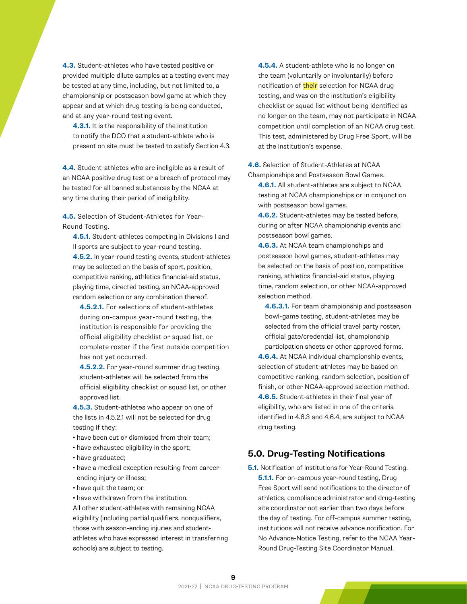<span id="page-10-0"></span>**4.3.** Student-athletes who have tested positive or provided multiple dilute samples at a testing event may be tested at any time, including, but not limited to, a championship or postseason bowl game at which they appear and at which drug testing is being conducted, and at any year-round testing event.

**4.3.1.** It is the responsibility of the institution to notify the DCO that a student-athlete who is present on site must be tested to satisfy Section 4.3.

**4.4.** Student-athletes who are ineligible as a result of an NCAA positive drug test or a breach of protocol may be tested for all banned substances by the NCAA at any time during their period of ineligibility.

**4.5.** Selection of Student-Athletes for Year-Round Testing.

**4.5.1.** Student-athletes competing in Divisions I and II sports are subject to year-round testing.

**4.5.2.** In year-round testing events, student-athletes may be selected on the basis of sport, position, competitive ranking, athletics financial-aid status, playing time, directed testing, an NCAA-approved random selection or any combination thereof.

**4.5.2.1.** For selections of student-athletes during on-campus year-round testing, the institution is responsible for providing the official eligibility checklist or squad list, or complete roster if the first outside competition has not yet occurred.

**4.5.2.2.** For year-round summer drug testing, student-athletes will be selected from the official eligibility checklist or squad list, or other approved list.

**4.5.3.** Student-athletes who appear on one of the lists in 4.5.2.1 will not be selected for drug testing if they:

- have been cut or dismissed from their team;
- have exhausted eligibility in the sport;
- have graduated;
- have a medical exception resulting from careerending injury or illness;
- have quit the team; or

• have withdrawn from the institution. All other student-athletes with remaining NCAA eligibility (including partial qualifiers, nonqualifiers, those with season-ending injuries and studentathletes who have expressed interest in transferring schools) are subject to testing.

**4.5.4.** A student-athlete who is no longer on the team (voluntarily or involuntarily) before notification of their selection for NCAA drug testing, and was on the institution's eligibility checklist or squad list without being identified as no longer on the team, may not participate in NCAA competition until completion of an NCAA drug test. This test, administered by Drug Free Sport, will be at the institution's expense.

**4.6.** Selection of Student-Athletes at NCAA Championships and Postseason Bowl Games.

**4.6.1.** All student-athletes are subject to NCAA testing at NCAA championships or in conjunction with postseason bowl games.

**4.6.2.** Student-athletes may be tested before, during or after NCAA championship events and postseason bowl games.

**4.6.3.** At NCAA team championships and postseason bowl games, student-athletes may be selected on the basis of position, competitive ranking, athletics financial-aid status, playing time, random selection, or other NCAA-approved selection method.

**4.6.3.1.** For team championship and postseason bowl-game testing, student-athletes may be selected from the official travel party roster, official gate/credential list, championship participation sheets or other approved forms.

**4.6.4.** At NCAA individual championship events, selection of student-athletes may be based on competitive ranking, random selection, position of finish, or other NCAA-approved selection method. **4.6.5.** Student-athletes in their final year of eligibility, who are listed in one of the criteria identified in 4.6.3 and 4.6.4, are subject to NCAA drug testing.

#### **5.0. Drug-Testing Notifications**

**5.1.** Notification of Institutions for Year-Round Testing. **5.1.1.** For on-campus year-round testing, Drug Free Sport will send notifications to the director of athletics, compliance administrator and drug-testing site coordinator not earlier than two days before the day of testing. For off-campus summer testing, institutions will not receive advance notification. For No Advance-Notice Testing, refer to the NCAA Year-Round Drug-Testing Site Coordinator Manual.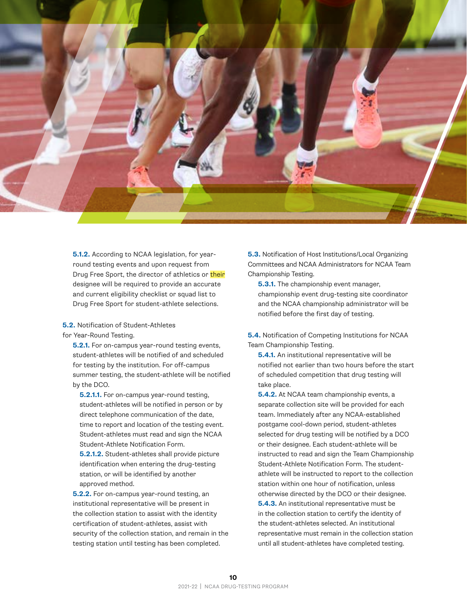

**5.1.2.** According to NCAA legislation, for yearround testing events and upon request from Drug Free Sport, the director of athletics or their designee will be required to provide an accurate and current eligibility checklist or squad list to Drug Free Sport for student-athlete selections.

**5.2.** Notification of Student-Athletes for Year-Round Testing.

**5.2.1.** For on-campus year-round testing events, student-athletes will be notified of and scheduled for testing by the institution. For off-campus summer testing, the student-athlete will be notified by the DCO.

**5.2.1.1.** For on-campus year-round testing, student-athletes will be notified in person or by direct telephone communication of the date, time to report and location of the testing event. Student-athletes must read and sign the NCAA Student-Athlete Notification Form.

**5.2.1.2.** Student-athletes shall provide picture identification when entering the drug-testing station, or will be identified by another approved method.

**5.2.2.** For on-campus year-round testing, an institutional representative will be present in the collection station to assist with the identity certification of student-athletes, assist with security of the collection station, and remain in the testing station until testing has been completed.

**5.3.** Notification of Host Institutions/Local Organizing Committees and NCAA Administrators for NCAA Team Championship Testing.

**5.3.1.** The championship event manager, championship event drug-testing site coordinator and the NCAA championship administrator will be notified before the first day of testing.

**5.4.** Notification of Competing Institutions for NCAA Team Championship Testing.

**5.4.1.** An institutional representative will be notified not earlier than two hours before the start of scheduled competition that drug testing will take place.

**5.4.2.** At NCAA team championship events, a separate collection site will be provided for each team. Immediately after any NCAA-established postgame cool-down period, student-athletes selected for drug testing will be notified by a DCO or their designee. Each student-athlete will be instructed to read and sign the Team Championship Student-Athlete Notification Form. The studentathlete will be instructed to report to the collection station within one hour of notification, unless otherwise directed by the DCO or their designee. **5.4.3.** An institutional representative must be in the collection station to certify the identity of the student-athletes selected. An institutional representative must remain in the collection station until all student-athletes have completed testing.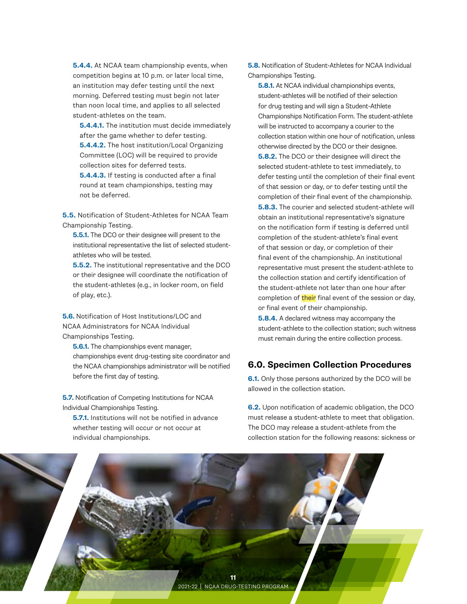<span id="page-12-0"></span>**5.4.4.** At NCAA team championship events, when competition begins at 10 p.m. or later local time, an institution may defer testing until the next morning. Deferred testing must begin not later than noon local time, and applies to all selected student-athletes on the team.

**5.4.4.1.** The institution must decide immediately after the game whether to defer testing. **5.4.4.2.** The host institution/Local Organizing Committee (LOC) will be required to provide collection sites for deferred tests.

**5.4.4.3.** If testing is conducted after a final round at team championships, testing may not be deferred.

**5.5.** Notification of Student-Athletes for NCAA Team Championship Testing.

**5.5.1.** The DCO or their designee will present to the institutional representative the list of selected studentathletes who will be tested.

**5.5.2.** The institutional representative and the DCO or their designee will coordinate the notification of the student-athletes (e.g., in locker room, on field of play, etc.).

**5.6.** Notification of Host Institutions/LOC and NCAA Administrators for NCAA Individual Championships Testing.

**5.6.1.** The championships event manager, championships event drug-testing site coordinator and the NCAA championships administrator will be notified before the first day of testing.

**5.7.** Notification of Competing Institutions for NCAA Individual Championships Testing.

**5.7.1.** Institutions will not be notified in advance whether testing will occur or not occur at individual championships.

**5.8.** Notification of Student-Athletes for NCAA Individual Championships Testing.

**5.8.1.** At NCAA individual championships events, student-athletes will be notified of their selection for drug testing and will sign a Student-Athlete Championships Notification Form. The student-athlete will be instructed to accompany a courier to the collection station within one hour of notification, unless otherwise directed by the DCO or their designee.

**5.8.2.** The DCO or their designee will direct the selected student-athlete to test immediately, to defer testing until the completion of their final event of that session or day, or to defer testing until the completion of their final event of the championship. **5.8.3.** The courier and selected student-athlete will obtain an institutional representative's signature on the notification form if testing is deferred until completion of the student-athlete's final event of that session or day, or completion of their final event of the championship. An institutional representative must present the student-athlete to the collection station and certify identification of the student-athlete not later than one hour after completion of their final event of the session or day, or final event of their championship.

**5.8.4.** A declared witness may accompany the student-athlete to the collection station; such witness must remain during the entire collection process.

#### **6.0. Specimen Collection Procedures**

**6.1.** Only those persons authorized by the DCO will be allowed in the collection station.

**6.2.** Upon notification of academic obligation, the DCO must release a student-athlete to meet that obligation. The DCO may release a student-athlete from the collection station for the following reasons: sickness or

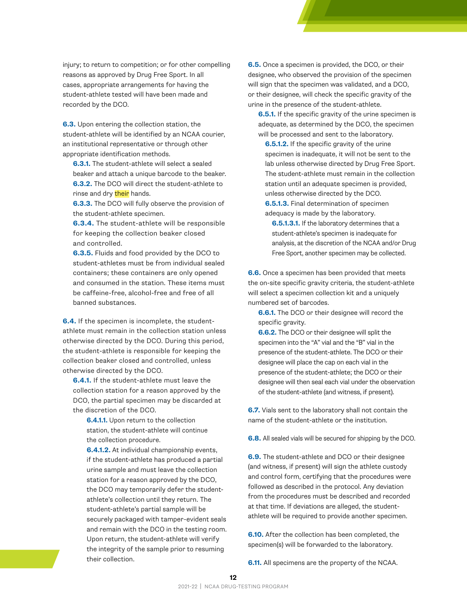injury; to return to competition; or for other compelling reasons as approved by Drug Free Sport. In all cases, appropriate arrangements for having the student-athlete tested will have been made and recorded by the DCO.

**6.3.** Upon entering the collection station, the student-athlete will be identified by an NCAA courier, an institutional representative or through other appropriate identification methods.

**6.3.1.** The student-athlete will select a sealed beaker and attach a unique barcode to the beaker. **6.3.2.** The DCO will direct the student-athlete to rinse and dry their hands.

**6.3.3.** The DCO will fully observe the provision of the student-athlete specimen.

**6.3.4.** The student-athlete will be responsible for keeping the collection beaker closed and controlled.

**6.3.5.** Fluids and food provided by the DCO to student-athletes must be from individual sealed containers; these containers are only opened and consumed in the station. These items must be caffeine-free, alcohol-free and free of all banned substances.

**6.4.** If the specimen is incomplete, the studentathlete must remain in the collection station unless otherwise directed by the DCO. During this period, the student-athlete is responsible for keeping the collection beaker closed and controlled, unless otherwise directed by the DCO.

**6.4.1.** If the student-athlete must leave the collection station for a reason approved by the DCO, the partial specimen may be discarded at the discretion of the DCO.

**6.4.1.1.** Upon return to the collection station, the student-athlete will continue the collection procedure.

**6.4.1.2.** At individual championship events, if the student-athlete has produced a partial urine sample and must leave the collection station for a reason approved by the DCO, the DCO may temporarily defer the studentathlete's collection until they return. The student-athlete's partial sample will be securely packaged with tamper-evident seals and remain with the DCO in the testing room. Upon return, the student-athlete will verify the integrity of the sample prior to resuming their collection.

**6.5.** Once a specimen is provided, the DCO, or their designee, who observed the provision of the specimen will sign that the specimen was validated, and a DCO, or their designee, will check the specific gravity of the urine in the presence of the student-athlete.

**6.5.1.** If the specific gravity of the urine specimen is adequate, as determined by the DCO, the specimen will be processed and sent to the laboratory.

**6.5.1.2.** If the specific gravity of the urine specimen is inadequate, it will not be sent to the lab unless otherwise directed by Drug Free Sport. The student-athlete must remain in the collection station until an adequate specimen is provided, unless otherwise directed by the DCO. **6.5.1.3.** Final determination of specimen adequacy is made by the laboratory.

**6.5.1.3.1.** If the laboratory determines that a student-athlete's specimen is inadequate for analysis, at the discretion of the NCAA and/or Drug Free Sport, another specimen may be collected.

**6.6.** Once a specimen has been provided that meets the on-site specific gravity criteria, the student-athlete will select a specimen collection kit and a uniquely numbered set of barcodes.

**6.6.1.** The DCO or their designee will record the specific gravity.

**6.6.2.** The DCO or their designee will split the specimen into the "A" vial and the "B" vial in the presence of the student-athlete. The DCO or their designee will place the cap on each vial in the presence of the student-athlete; the DCO or their designee will then seal each vial under the observation of the student-athlete (and witness, if present).

**6.7.** Vials sent to the laboratory shall not contain the name of the student-athlete or the institution.

**6.8.** All sealed vials will be secured for shipping by the DCO.

**6.9.** The student-athlete and DCO or their designee (and witness, if present) will sign the athlete custody and control form, certifying that the procedures were followed as described in the protocol. Any deviation from the procedures must be described and recorded at that time. If deviations are alleged, the studentathlete will be required to provide another specimen.

**6.10.** After the collection has been completed, the specimen(s) will be forwarded to the laboratory.

**6.11.** All specimens are the property of the NCAA.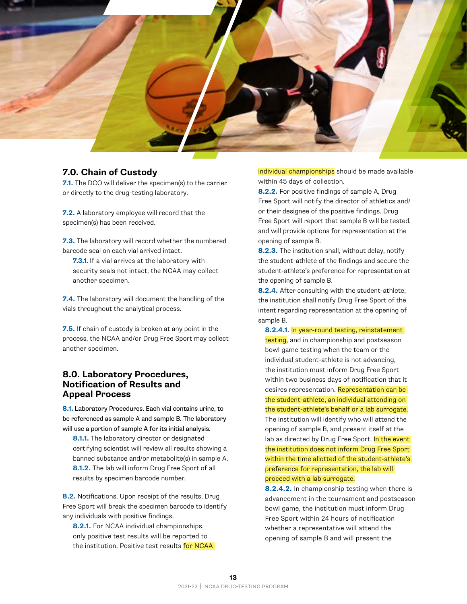<span id="page-14-0"></span>

#### **7.0. Chain of Custody**

**7.1.** The DCO will deliver the specimen(s) to the carrier or directly to the drug-testing laboratory.

**7.2.** A laboratory employee will record that the specimen(s) has been received.

**7.3.** The laboratory will record whether the numbered barcode seal on each vial arrived intact.

**7.3.1.** If a vial arrives at the laboratory with security seals not intact, the NCAA may collect another specimen.

**7.4.** The laboratory will document the handling of the vials throughout the analytical process.

**7.5.** If chain of custody is broken at any point in the process, the NCAA and/or Drug Free Sport may collect another specimen.

#### **8.0. Laboratory Procedures, Notification of Results and Appeal Process**

**8.1.** Laboratory Procedures. Each vial contains urine, to be referenced as sample A and sample B. The laboratory will use a portion of sample A for its initial analysis.

**8.1.1.** The laboratory director or designated certifying scientist will review all results showing a banned substance and/or metabolite(s) in sample A. **8.1.2.** The lab will inform Drug Free Sport of all results by specimen barcode number.

**8.2.** Notifications. Upon receipt of the results, Drug Free Sport will break the specimen barcode to identify any individuals with positive findings.

**8.2.1.** For NCAA individual championships, only positive test results will be reported to the institution. Positive test results for NCAA individual championships should be made available within 45 days of collection.

**8.2.2.** For positive findings of sample A, Drug Free Sport will notify the director of athletics and/ or their designee of the positive findings. Drug Free Sport will report that sample B will be tested, and will provide options for representation at the opening of sample B.

**8.2.3.** The institution shall, without delay, notify the student-athlete of the findings and secure the student-athlete's preference for representation at the opening of sample B.

**8.2.4.** After consulting with the student-athlete, the institution shall notify Drug Free Sport of the intent regarding representation at the opening of sample B.

**8.2.4.1.** In year-round testing, reinstatement testing, and in championship and postseason bowl game testing when the team or the individual student-athlete is not advancing, the institution must inform Drug Free Sport within two business days of notification that it desires representation. Representation can be the student-athlete, an individual attending on the student-athlete's behalf or a lab surrogate. The institution will identify who will attend the opening of sample B, and present itself at the lab as directed by Drug Free Sport. In the event the institution does not inform Drug Free Sport within the time allotted of the student-athlete's preference for representation, the lab will proceed with a lab surrogate.

**8.2.4.2.** In championship testing when there is advancement in the tournament and postseason bowl game, the institution must inform Drug Free Sport within 24 hours of notification whether a representative will attend the opening of sample B and will present the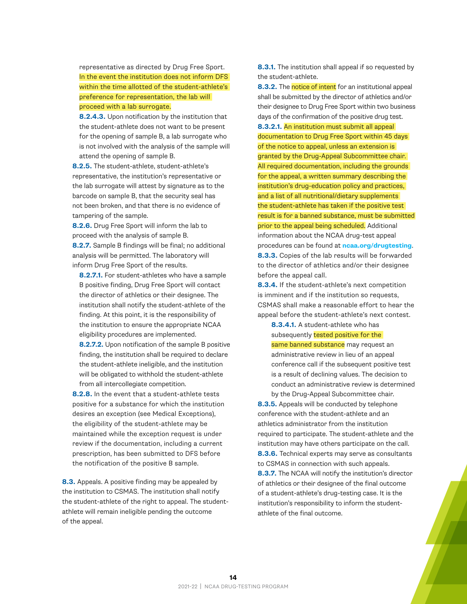representative as directed by Drug Free Sport. In the event the institution does not inform DFS within the time allotted of the student-athlete's preference for representation, the lab will

proceed with a lab surrogate.

**8.2.4.3.** Upon notification by the institution that the student-athlete does not want to be present for the opening of sample B, a lab surrogate who is not involved with the analysis of the sample will attend the opening of sample B.

**8.2.5.** The student-athlete, student-athlete's representative, the institution's representative or the lab surrogate will attest by signature as to the barcode on sample B, that the security seal has not been broken, and that there is no evidence of tampering of the sample.

**8.2.6.** Drug Free Sport will inform the lab to proceed with the analysis of sample B. **8.2.7.** Sample B findings will be final; no additional analysis will be permitted. The laboratory will inform Drug Free Sport of the results.

**8.2.7.1.** For student-athletes who have a sample B positive finding, Drug Free Sport will contact the director of athletics or their designee. The institution shall notify the student-athlete of the finding. At this point, it is the responsibility of the institution to ensure the appropriate NCAA eligibility procedures are implemented.

**8.2.7.2.** Upon notification of the sample B positive finding, the institution shall be required to declare the student-athlete ineligible, and the institution will be obligated to withhold the student-athlete from all intercollegiate competition.

**8.2.8.** In the event that a student-athlete tests positive for a substance for which the institution desires an exception (see Medical Exceptions), the eligibility of the student-athlete may be maintained while the exception request is under review if the documentation, including a current prescription, has been submitted to DFS before the notification of the positive B sample.

**8.3.** Appeals. A positive finding may be appealed by the institution to CSMAS. The institution shall notify the student-athlete of the right to appeal. The studentathlete will remain ineligible pending the outcome of the appeal.

**8.3.1.** The institution shall appeal if so requested by the student-athlete.

**8.3.2.** The notice of intent for an institutional appeal shall be submitted by the director of athletics and/or their designee to Drug Free Sport within two business days of the confirmation of the positive drug test. **8.3.2.1.** An institution must submit all appeal documentation to Drug Free Sport within 45 days of the notice to appeal, unless an extension is granted by the Drug-Appeal Subcommittee chair. All required documentation, including the grounds for the appeal, a written summary describing the institution's drug-education policy and practices, and a list of all nutritional/dietary supplements the student-athlete has taken if the positive test result is for a banned substance, must be submitted prior to the appeal being scheduled. Additional information about the NCAA drug-test appeal procedures can be found at **[ncaa.org/drugtesting](http://ncaa.org/drugtesting)**. **8.3.3.** Copies of the lab results will be forwarded to the director of athletics and/or their designee

before the appeal call. **8.3.4.** If the student-athlete's next competition is imminent and if the institution so requests, CSMAS shall make a reasonable effort to hear the appeal before the student-athlete's next contest.

**8.3.4.1.** A student-athlete who has subsequently tested positive for the

same banned substance may request an administrative review in lieu of an appeal conference call if the subsequent positive test is a result of declining values. The decision to conduct an administrative review is determined by the Drug-Appeal Subcommittee chair.

**8.3.5.** Appeals will be conducted by telephone conference with the student-athlete and an athletics administrator from the institution required to participate. The student-athlete and the institution may have others participate on the call. **8.3.6.** Technical experts may serve as consultants to CSMAS in connection with such appeals. **8.3.7.** The NCAA will notify the institution's director of athletics or their designee of the final outcome of a student-athlete's drug-testing case. It is the institution's responsibility to inform the studentathlete of the final outcome.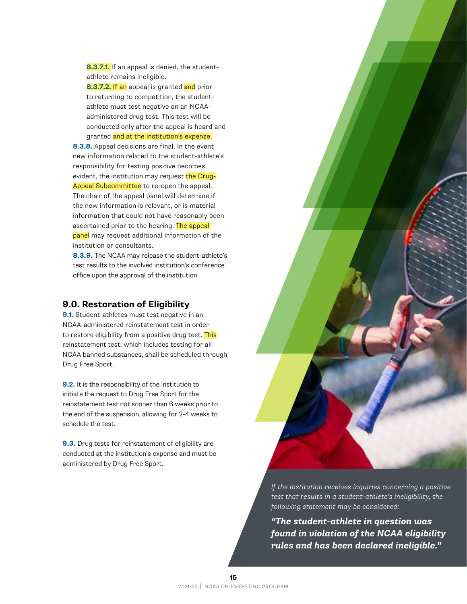<span id="page-16-0"></span>**8.3.7.1.** If an appeal is denied, the studentathlete remains ineligible.

**8.3.7.2.** If an appeal is granted and prior to returning to competition, the studentathlete must test negative on an NCAAadministered drug test. This test will be conducted only after the appeal is heard and granted and at the institution's expense.

**8.3.8.** Appeal decisions are final. In the event new information related to the student-athlete's responsibility for testing positive becomes evident, the institution may request the Drug-Appeal Subcommittee to re-open the appeal. The chair of the appeal panel will determine if the new information is relevant, or is material information that could not have reasonably been ascertained prior to the hearing. The appeal panel may request additional information of the institution or consultants.

**8.3.9.** The NCAA may release the student-athlete's test results to the involved institution's conference office upon the approval of the institution.

#### **9.0. Restoration of Eligibility**

**9.1.** Student-athletes must test negative in an NCAA-administered reinstatement test in order to restore eligibility from a positive drug test. This reinstatement test, which includes testing for all NCAA banned substances, shall be scheduled through Drug Free Sport.

**9.2.** It is the responsibility of the institution to initiate the request to Drug Free Sport for the reinstatement test not sooner than 6 weeks prior to the end of the suspension, allowing for 2-4 weeks to schedule the test.

**9.3.** Drug tests for reinstatement of eligibility are conducted at the institution's expense and must be administered by Drug Free Sport.

*If the institution receives inquiries concerning a positive test that results in a student-athlete's ineligibility, the following statement may be considered:* 

*"The student-athlete in question was found in violation of the NCAA eligibility rules and has been declared ineligible."*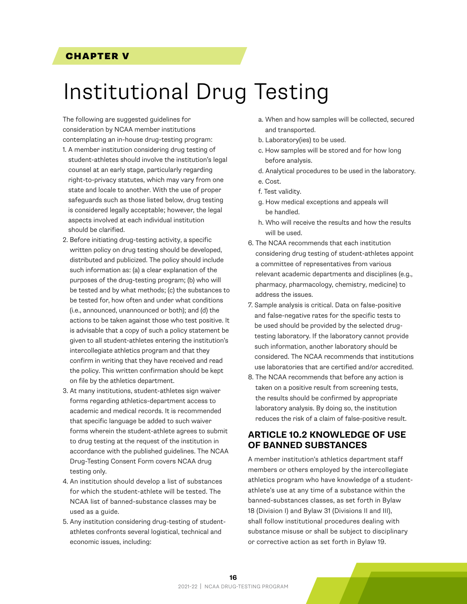#### <span id="page-17-0"></span>CHAPTER V

### Institutional Drug Testing

The following are suggested guidelines for consideration by NCAA member institutions contemplating an in-house drug-testing program: 1. A member institution considering drug testing of

- student-athletes should involve the institution's legal counsel at an early stage, particularly regarding right-to-privacy statutes, which may vary from one state and locale to another. With the use of proper safeguards such as those listed below, drug testing is considered legally acceptable; however, the legal aspects involved at each individual institution should be clarified.
- 2. Before initiating drug-testing activity, a specific written policy on drug testing should be developed, distributed and publicized. The policy should include such information as: (a) a clear explanation of the purposes of the drug-testing program; (b) who will be tested and by what methods; (c) the substances to be tested for, how often and under what conditions (i.e., announced, unannounced or both); and (d) the actions to be taken against those who test positive. It is advisable that a copy of such a policy statement be given to all student-athletes entering the institution's intercollegiate athletics program and that they confirm in writing that they have received and read the policy. This written confirmation should be kept on file by the athletics department.
- 3. At many institutions, student-athletes sign waiver forms regarding athletics-department access to academic and medical records. It is recommended that specific language be added to such waiver forms wherein the student-athlete agrees to submit to drug testing at the request of the institution in accordance with the published guidelines. The NCAA Drug-Testing Consent Form covers NCAA drug testing only.
- 4. An institution should develop a list of substances for which the student-athlete will be tested. The NCAA list of banned-substance classes may be used as a guide.
- 5. Any institution considering drug-testing of studentathletes confronts several logistical, technical and economic issues, including:
- a. When and how samples will be collected, secured and transported.
- b. Laboratory(ies) to be used.
- c. How samples will be stored and for how long before analysis.
- d. Analytical procedures to be used in the laboratory.
- e. Cost.
- f. Test validity.
- g. How medical exceptions and appeals will be handled.
- h. Who will receive the results and how the results will be used.
- 6. The NCAA recommends that each institution considering drug testing of student-athletes appoint a committee of representatives from various relevant academic departments and disciplines (e.g., pharmacy, pharmacology, chemistry, medicine) to address the issues.
- 7. Sample analysis is critical. Data on false-positive and false-negative rates for the specific tests to be used should be provided by the selected drugtesting laboratory. If the laboratory cannot provide such information, another laboratory should be considered. The NCAA recommends that institutions use laboratories that are certified and/or accredited.
- 8. The NCAA recommends that before any action is taken on a positive result from screening tests, the results should be confirmed by appropriate laboratory analysis. By doing so, the institution reduces the risk of a claim of false-positive result.

#### **ARTICLE 10.2 KNOWLEDGE OF USE OF BANNED SUBSTANCES**

A member institution's athletics department staff members or others employed by the intercollegiate athletics program who have knowledge of a studentathlete's use at any time of a substance within the banned-substances classes, as set forth in Bylaw 18 (Division I) and Bylaw 31 (Divisions II and III), shall follow institutional procedures dealing with substance misuse or shall be subject to disciplinary or corrective action as set forth in Bylaw 19.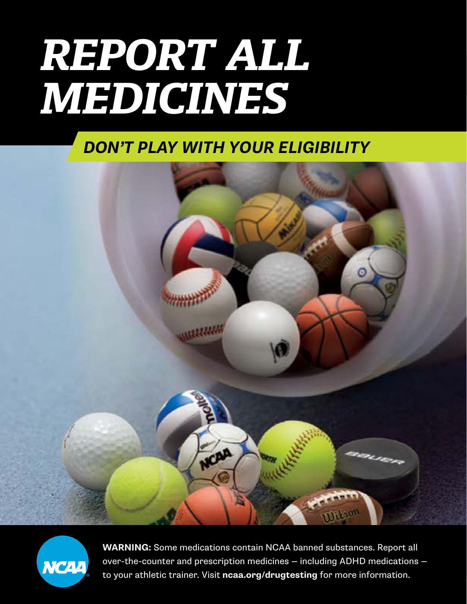# *REPORT ALL MEDICINES*

### *DON'T PLAY WITH YOUR ELIGIBILITY*





**17** to your athletic trainer. Visit **[ncaa.org/drugtesting](http://ncaa.org/drugtesting)** for more information.**WARNING:** Some medications contain NCAA banned substances. Report all over-the-counter and prescription medicines — including ADHD medications —